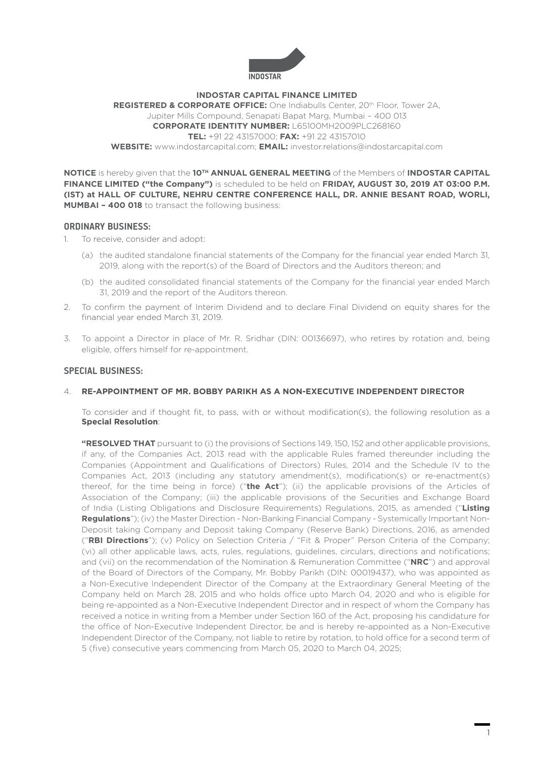

#### **INDOSTAR CAPITAL FINANCE LIMITED**

**REGISTERED & CORPORATE OFFICE:** One Indiabulls Center, 20th Floor, Tower 2A, Jupiter Mills Compound, Senapati Bapat Marg, Mumbai – 400 013 **CORPORATE IDENTITY NUMBER:** L65100MH2009PLC268160 **TEL:** +91 22 43157000; **FAX:** +91 22 43157010 **WEBSITE:** www.indostarcapital.com; **EMAIL:** investor.relations@indostarcapital.com

**NOTICE** is hereby given that the **10TH ANNUAL GENERAL MEETING** of the Members of **INDOSTAR CAPITAL FINANCE LIMITED ("the Company")** is scheduled to be held on **FRIDAY, AUGUST 30, 2019 AT 03:00 P.M. (IST) at HALL OF CULTURE, NEHRU CENTRE CONFERENCE HALL, DR. ANNIE BESANT ROAD, WORLI, MUMBAI – 400 018** to transact the following business:

## **ORDINARY BUSINESS:**

- 1. To receive, consider and adopt:
	- (a) the audited standalone financial statements of the Company for the financial year ended March 31, 2019, along with the report(s) of the Board of Directors and the Auditors thereon; and
	- (b) the audited consolidated financial statements of the Company for the financial year ended March 31, 2019 and the report of the Auditors thereon.
- 2. To confirm the payment of Interim Dividend and to declare Final Dividend on equity shares for the financial year ended March 31, 2019.
- 3. To appoint a Director in place of Mr. R. Sridhar (DIN: 00136697), who retires by rotation and, being eligible, offers himself for re-appointment.

## **SPECIAL BUSINESS:**

### 4. **RE-APPOINTMENT OF MR. BOBBY PARIKH AS A NON-EXECUTIVE INDEPENDENT DIRECTOR**

 To consider and if thought fit, to pass, with or without modification(s), the following resolution as a **Special Resolution**:

**"RESOLVED THAT** pursuant to (i) the provisions of Sections 149, 150, 152 and other applicable provisions, if any, of the Companies Act, 2013 read with the applicable Rules framed thereunder including the Companies (Appointment and Qualifications of Directors) Rules, 2014 and the Schedule IV to the Companies Act, 2013 (including any statutory amendment(s), modification(s) or re-enactment(s) thereof, for the time being in force) ("**the Act**"); (ii) the applicable provisions of the Articles of Association of the Company; (iii) the applicable provisions of the Securities and Exchange Board of India (Listing Obligations and Disclosure Requirements) Regulations, 2015, as amended ("**Listing Regulations**"); (iv) the Master Direction - Non-Banking Financial Company - Systemically Important Non-Deposit taking Company and Deposit taking Company (Reserve Bank) Directions, 2016, as amended ("**RBI Directions**"); (v) Policy on Selection Criteria / "Fit & Proper" Person Criteria of the Company; (vi) all other applicable laws, acts, rules, regulations, guidelines, circulars, directions and notifications; and (vii) on the recommendation of the Nomination & Remuneration Committee ("**NRC**") and approval of the Board of Directors of the Company, Mr. Bobby Parikh (DIN: 00019437), who was appointed as a Non-Executive Independent Director of the Company at the Extraordinary General Meeting of the Company held on March 28, 2015 and who holds office upto March 04, 2020 and who is eligible for being re-appointed as a Non-Executive Independent Director and in respect of whom the Company has received a notice in writing from a Member under Section 160 of the Act, proposing his candidature for the office of Non-Executive Independent Director, be and is hereby re-appointed as a Non-Executive Independent Director of the Company, not liable to retire by rotation, to hold office for a second term of 5 (five) consecutive years commencing from March 05, 2020 to March 04, 2025;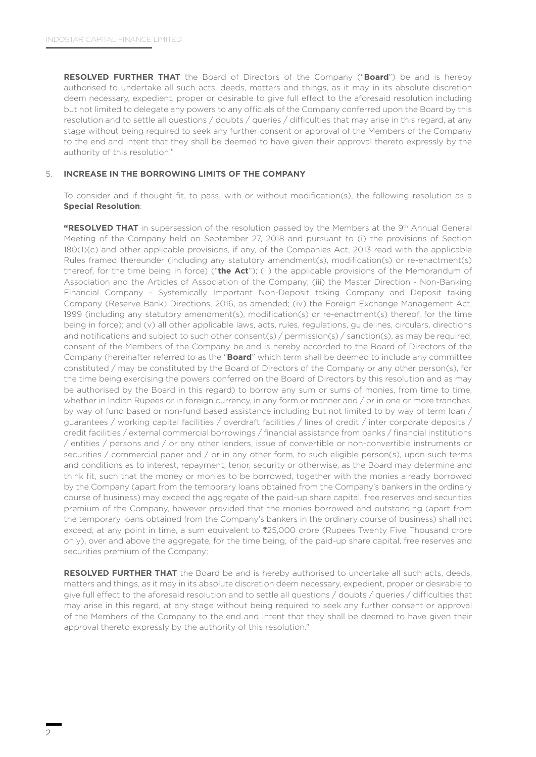**RESOLVED FURTHER THAT** the Board of Directors of the Company ("**Board**") be and is hereby authorised to undertake all such acts, deeds, matters and things, as it may in its absolute discretion deem necessary, expedient, proper or desirable to give full effect to the aforesaid resolution including but not limited to delegate any powers to any officials of the Company conferred upon the Board by this resolution and to settle all questions / doubts / queries / difficulties that may arise in this regard, at any stage without being required to seek any further consent or approval of the Members of the Company to the end and intent that they shall be deemed to have given their approval thereto expressly by the authority of this resolution."

### 5. **INCREASE IN THE BORROWING LIMITS OF THE COMPANY**

 To consider and if thought fit, to pass, with or without modification(s), the following resolution as a **Special Resolution**:

"RESOLVED THAT in supersession of the resolution passed by the Members at the 9<sup>th</sup> Annual General Meeting of the Company held on September 27, 2018 and pursuant to (i) the provisions of Section 180(1)(c) and other applicable provisions, if any, of the Companies Act, 2013 read with the applicable Rules framed thereunder (including any statutory amendment(s), modification(s) or re-enactment(s) thereof, for the time being in force) ("**the Act**"); (ii) the applicable provisions of the Memorandum of Association and the Articles of Association of the Company; (iii) the Master Direction - Non-Banking Financial Company - Systemically Important Non-Deposit taking Company and Deposit taking Company (Reserve Bank) Directions, 2016, as amended; (iv) the Foreign Exchange Management Act, 1999 (including any statutory amendment(s), modification(s) or re-enactment(s) thereof, for the time being in force); and (v) all other applicable laws, acts, rules, regulations, guidelines, circulars, directions and notifications and subject to such other consent(s) / permission(s) / sanction(s), as may be required, consent of the Members of the Company be and is hereby accorded to the Board of Directors of the Company (hereinafter referred to as the "**Board**" which term shall be deemed to include any committee constituted / may be constituted by the Board of Directors of the Company or any other person(s), for the time being exercising the powers conferred on the Board of Directors by this resolution and as may be authorised by the Board in this regard) to borrow any sum or sums of monies, from time to time, whether in Indian Rupees or in foreign currency, in any form or manner and / or in one or more tranches, by way of fund based or non-fund based assistance including but not limited to by way of term loan / guarantees / working capital facilities / overdraft facilities / lines of credit / inter corporate deposits / credit facilities / external commercial borrowings / financial assistance from banks / financial institutions / entities / persons and / or any other lenders, issue of convertible or non-convertible instruments or securities / commercial paper and / or in any other form, to such eligible person(s), upon such terms and conditions as to interest, repayment, tenor, security or otherwise, as the Board may determine and think fit, such that the money or monies to be borrowed, together with the monies already borrowed by the Company (apart from the temporary loans obtained from the Company's bankers in the ordinary course of business) may exceed the aggregate of the paid-up share capital, free reserves and securities premium of the Company, however provided that the monies borrowed and outstanding (apart from the temporary loans obtained from the Company's bankers in the ordinary course of business) shall not exceed, at any point in time, a sum equivalent to ₹25,000 crore (Rupees Twenty Five Thousand crore only), over and above the aggregate, for the time being, of the paid-up share capital, free reserves and securities premium of the Company;

**RESOLVED FURTHER THAT** the Board be and is hereby authorised to undertake all such acts, deeds, matters and things, as it may in its absolute discretion deem necessary, expedient, proper or desirable to give full effect to the aforesaid resolution and to settle all questions / doubts / queries / difficulties that may arise in this regard, at any stage without being required to seek any further consent or approval of the Members of the Company to the end and intent that they shall be deemed to have given their approval thereto expressly by the authority of this resolution."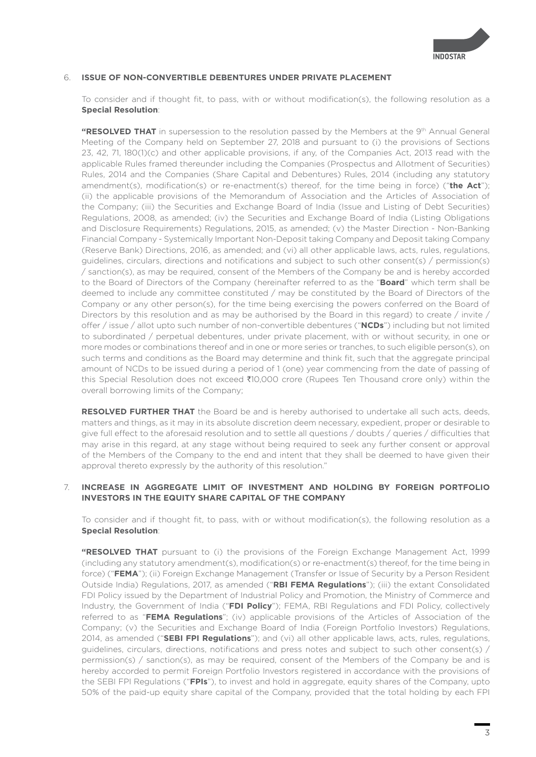

### 6. **ISSUE OF NON-CONVERTIBLE DEBENTURES UNDER PRIVATE PLACEMENT**

 To consider and if thought fit, to pass, with or without modification(s), the following resolution as a **Special Resolution**:

**"RESOLVED THAT** in supersession to the resolution passed by the Members at the 9<sup>th</sup> Annual General Meeting of the Company held on September 27, 2018 and pursuant to (i) the provisions of Sections 23, 42, 71, 180(1)(c) and other applicable provisions, if any, of the Companies Act, 2013 read with the applicable Rules framed thereunder including the Companies (Prospectus and Allotment of Securities) Rules, 2014 and the Companies (Share Capital and Debentures) Rules, 2014 (including any statutory amendment(s), modification(s) or re-enactment(s) thereof, for the time being in force) ("**the Act**"); (ii) the applicable provisions of the Memorandum of Association and the Articles of Association of the Company; (iii) the Securities and Exchange Board of India (Issue and Listing of Debt Securities) Regulations, 2008, as amended; (iv) the Securities and Exchange Board of India (Listing Obligations and Disclosure Requirements) Regulations, 2015, as amended; (v) the Master Direction - Non-Banking Financial Company - Systemically Important Non-Deposit taking Company and Deposit taking Company (Reserve Bank) Directions, 2016, as amended; and (vi) all other applicable laws, acts, rules, regulations, guidelines, circulars, directions and notifications and subject to such other consent(s) / permission(s) / sanction(s), as may be required, consent of the Members of the Company be and is hereby accorded to the Board of Directors of the Company (hereinafter referred to as the "**Board**" which term shall be deemed to include any committee constituted / may be constituted by the Board of Directors of the Company or any other person(s), for the time being exercising the powers conferred on the Board of Directors by this resolution and as may be authorised by the Board in this regard) to create / invite / offer / issue / allot upto such number of non-convertible debentures ("**NCDs**") including but not limited to subordinated / perpetual debentures, under private placement, with or without security, in one or more modes or combinations thereof and in one or more series or tranches, to such eligible person(s), on such terms and conditions as the Board may determine and think fit, such that the aggregate principal amount of NCDs to be issued during a period of 1 (one) year commencing from the date of passing of this Special Resolution does not exceed ₹10,000 crore (Rupees Ten Thousand crore only) within the overall borrowing limits of the Company;

**RESOLVED FURTHER THAT** the Board be and is hereby authorised to undertake all such acts, deeds, matters and things, as it may in its absolute discretion deem necessary, expedient, proper or desirable to give full effect to the aforesaid resolution and to settle all questions / doubts / queries / difficulties that may arise in this regard, at any stage without being required to seek any further consent or approval of the Members of the Company to the end and intent that they shall be deemed to have given their approval thereto expressly by the authority of this resolution."

### 7. **INCREASE IN AGGREGATE LIMIT OF INVESTMENT AND HOLDING BY FOREIGN PORTFOLIO INVESTORS IN THE EQUITY SHARE CAPITAL OF THE COMPANY**

 To consider and if thought fit, to pass, with or without modification(s), the following resolution as a **Special Resolution**:

**"RESOLVED THAT** pursuant to (i) the provisions of the Foreign Exchange Management Act, 1999 (including any statutory amendment(s), modification(s) or re-enactment(s) thereof, for the time being in force) ("**FEMA**"); (ii) Foreign Exchange Management (Transfer or Issue of Security by a Person Resident Outside India) Regulations, 2017, as amended ("**RBI FEMA Regulations**"); (iii) the extant Consolidated FDI Policy issued by the Department of Industrial Policy and Promotion, the Ministry of Commerce and Industry, the Government of India ("**FDI Policy**"); FEMA, RBI Regulations and FDI Policy, collectively referred to as "**FEMA Regulations**"; (iv) applicable provisions of the Articles of Association of the Company; (v) the Securities and Exchange Board of India (Foreign Portfolio Investors) Regulations, 2014, as amended ("**SEBI FPI Regulations**"); and (vi) all other applicable laws, acts, rules, regulations, guidelines, circulars, directions, notifications and press notes and subject to such other consent(s) / permission(s) / sanction(s), as may be required, consent of the Members of the Company be and is hereby accorded to permit Foreign Portfolio Investors registered in accordance with the provisions of the SEBI FPI Regulations ("**FPIs**"), to invest and hold in aggregate, equity shares of the Company, upto 50% of the paid-up equity share capital of the Company, provided that the total holding by each FPI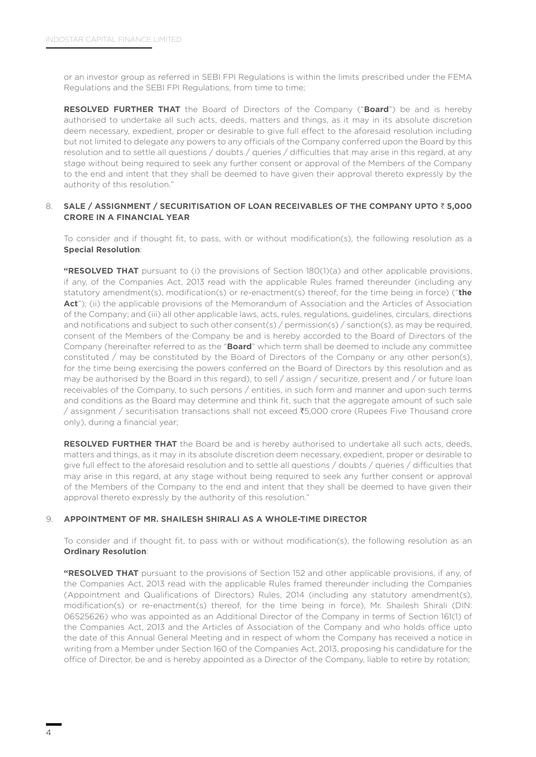or an investor group as referred in SEBI FPI Regulations is within the limits prescribed under the FEMA Regulations and the SEBI FPI Regulations, from time to time;

**RESOLVED FURTHER THAT** the Board of Directors of the Company ("**Board**") be and is hereby authorised to undertake all such acts, deeds, matters and things, as it may in its absolute discretion deem necessary, expedient, proper or desirable to give full effect to the aforesaid resolution including but not limited to delegate any powers to any officials of the Company conferred upon the Board by this resolution and to settle all questions / doubts / queries / difficulties that may arise in this regard, at any stage without being required to seek any further consent or approval of the Members of the Company to the end and intent that they shall be deemed to have given their approval thereto expressly by the authority of this resolution."

## 8. **SALE / ASSIGNMENT / SECURITISATION OF LOAN RECEIVABLES OF THE COMPANY UPTO** ` **5,000 CRORE IN A FINANCIAL YEAR**

 To consider and if thought fit, to pass, with or without modification(s), the following resolution as a **Special Resolution**:

**"RESOLVED THAT** pursuant to (i) the provisions of Section 180(1)(a) and other applicable provisions, if any, of the Companies Act, 2013 read with the applicable Rules framed thereunder (including any statutory amendment(s), modification(s) or re-enactment(s) thereof, for the time being in force) ("**the**  Act"); (ii) the applicable provisions of the Memorandum of Association and the Articles of Association of the Company; and (iii) all other applicable laws, acts, rules, regulations, guidelines, circulars, directions and notifications and subject to such other consent(s) / permission(s) / sanction(s), as may be required, consent of the Members of the Company be and is hereby accorded to the Board of Directors of the Company (hereinafter referred to as the "**Board**" which term shall be deemed to include any committee constituted / may be constituted by the Board of Directors of the Company or any other person(s), for the time being exercising the powers conferred on the Board of Directors by this resolution and as may be authorised by the Board in this regard), to sell / assign / securitize, present and / or future loan receivables of the Company, to such persons / entities, in such form and manner and upon such terms and conditions as the Board may determine and think fit, such that the aggregate amount of such sale / assignment / securitisation transactions shall not exceed `5,000 crore (Rupees Five Thousand crore only), during a financial year;

**RESOLVED FURTHER THAT** the Board be and is hereby authorised to undertake all such acts, deeds, matters and things, as it may in its absolute discretion deem necessary, expedient, proper or desirable to give full effect to the aforesaid resolution and to settle all questions / doubts / queries / difficulties that may arise in this regard, at any stage without being required to seek any further consent or approval of the Members of the Company to the end and intent that they shall be deemed to have given their approval thereto expressly by the authority of this resolution."

### 9. **APPOINTMENT OF MR. SHAILESH SHIRALI AS A WHOLE-TIME DIRECTOR**

 To consider and if thought fit, to pass with or without modification(s), the following resolution as an **Ordinary Resolution**:

**"RESOLVED THAT** pursuant to the provisions of Section 152 and other applicable provisions, if any, of the Companies Act, 2013 read with the applicable Rules framed thereunder including the Companies (Appointment and Qualifications of Directors) Rules, 2014 (including any statutory amendment(s), modification(s) or re-enactment(s) thereof, for the time being in force), Mr. Shailesh Shirali (DIN: 06525626) who was appointed as an Additional Director of the Company in terms of Section 161(1) of the Companies Act, 2013 and the Articles of Association of the Company and who holds office upto the date of this Annual General Meeting and in respect of whom the Company has received a notice in writing from a Member under Section 160 of the Companies Act, 2013, proposing his candidature for the office of Director, be and is hereby appointed as a Director of the Company, liable to retire by rotation;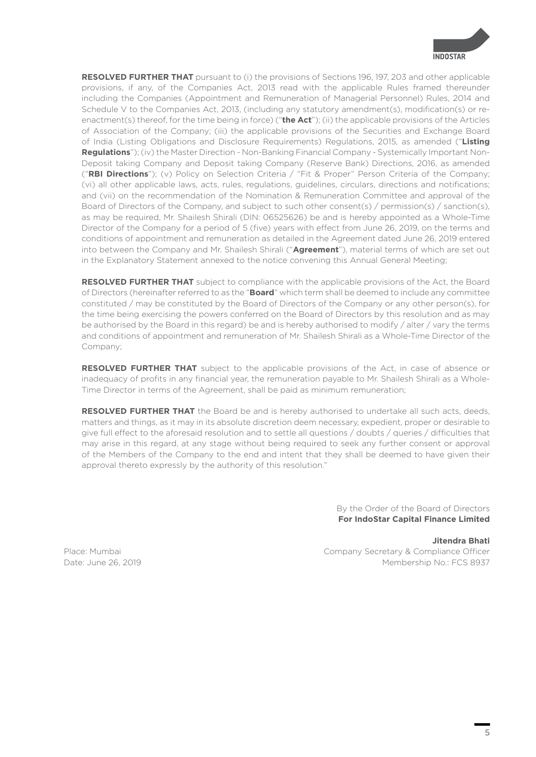

**RESOLVED FURTHER THAT** pursuant to (i) the provisions of Sections 196, 197, 203 and other applicable provisions, if any, of the Companies Act, 2013 read with the applicable Rules framed thereunder including the Companies (Appointment and Remuneration of Managerial Personnel) Rules, 2014 and Schedule V to the Companies Act, 2013, (including any statutory amendment(s), modification(s) or reenactment(s) thereof, for the time being in force) ("**the Act**"); (ii) the applicable provisions of the Articles of Association of the Company; (iii) the applicable provisions of the Securities and Exchange Board of India (Listing Obligations and Disclosure Requirements) Regulations, 2015, as amended ("**Listing Regulations**"); (iv) the Master Direction - Non-Banking Financial Company - Systemically Important Non-Deposit taking Company and Deposit taking Company (Reserve Bank) Directions, 2016, as amended ("**RBI Directions**"); (v) Policy on Selection Criteria / "Fit & Proper" Person Criteria of the Company; (vi) all other applicable laws, acts, rules, regulations, guidelines, circulars, directions and notifications; and (vii) on the recommendation of the Nomination & Remuneration Committee and approval of the Board of Directors of the Company, and subject to such other consent(s) / permission(s) / sanction(s), as may be required, Mr. Shailesh Shirali (DIN: 06525626) be and is hereby appointed as a Whole-Time Director of the Company for a period of 5 (five) years with effect from June 26, 2019, on the terms and conditions of appointment and remuneration as detailed in the Agreement dated June 26, 2019 entered into between the Company and Mr. Shailesh Shirali ("**Agreement**"), material terms of which are set out in the Explanatory Statement annexed to the notice convening this Annual General Meeting;

**RESOLVED FURTHER THAT** subject to compliance with the applicable provisions of the Act, the Board of Directors (hereinafter referred to as the "**Board**" which term shall be deemed to include any committee constituted / may be constituted by the Board of Directors of the Company or any other person(s), for the time being exercising the powers conferred on the Board of Directors by this resolution and as may be authorised by the Board in this regard) be and is hereby authorised to modify / alter / vary the terms and conditions of appointment and remuneration of Mr. Shailesh Shirali as a Whole-Time Director of the Company;

**RESOLVED FURTHER THAT** subject to the applicable provisions of the Act, in case of absence or inadequacy of profits in any financial year, the remuneration payable to Mr. Shailesh Shirali as a Whole-Time Director in terms of the Agreement, shall be paid as minimum remuneration;

**RESOLVED FURTHER THAT** the Board be and is hereby authorised to undertake all such acts, deeds, matters and things, as it may in its absolute discretion deem necessary, expedient, proper or desirable to give full effect to the aforesaid resolution and to settle all questions / doubts / queries / difficulties that may arise in this regard, at any stage without being required to seek any further consent or approval of the Members of the Company to the end and intent that they shall be deemed to have given their approval thereto expressly by the authority of this resolution."

> By the Order of the Board of Directors **For IndoStar Capital Finance Limited**

**Jitendra Bhati** Place: Mumbai **Company Secretary & Compliance Officer** Company Secretary & Compliance Officer Date: June 26, 2019 Membership No.: FCS 8937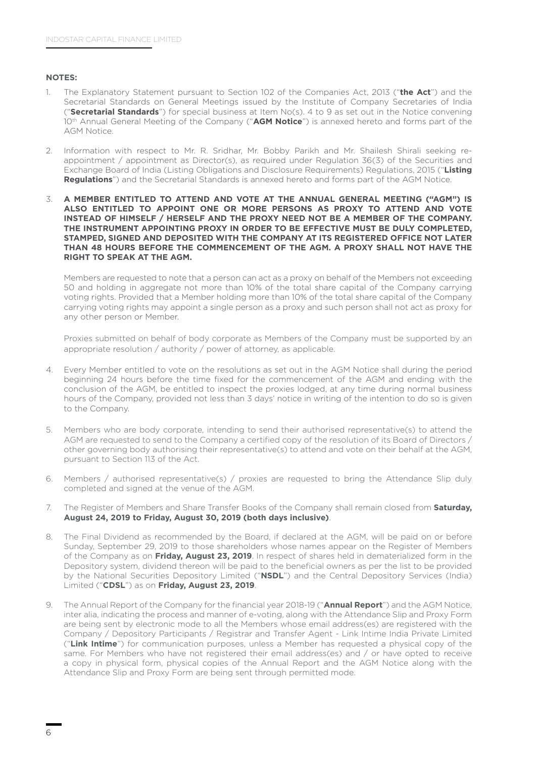### **NOTES:**

- 1. The Explanatory Statement pursuant to Section 102 of the Companies Act, 2013 ("**the Act**") and the Secretarial Standards on General Meetings issued by the Institute of Company Secretaries of India ("**Secretarial Standards**") for special business at Item No(s). 4 to 9 as set out in the Notice convening 10th Annual General Meeting of the Company ("**AGM Notice**") is annexed hereto and forms part of the AGM Notice.
- 2. Information with respect to Mr. R. Sridhar, Mr. Bobby Parikh and Mr. Shailesh Shirali seeking reappointment / appointment as Director(s), as required under Regulation 36(3) of the Securities and Exchange Board of India (Listing Obligations and Disclosure Requirements) Regulations, 2015 ("**Listing Regulations**") and the Secretarial Standards is annexed hereto and forms part of the AGM Notice.
- 3. **A MEMBER ENTITLED TO ATTEND AND VOTE AT THE ANNUAL GENERAL MEETING ("AGM") IS ALSO ENTITLED TO APPOINT ONE OR MORE PERSONS AS PROXY TO ATTEND AND VOTE INSTEAD OF HIMSELF / HERSELF AND THE PROXY NEED NOT BE A MEMBER OF THE COMPANY. THE INSTRUMENT APPOINTING PROXY IN ORDER TO BE EFFECTIVE MUST BE DULY COMPLETED, STAMPED, SIGNED AND DEPOSITED WITH THE COMPANY AT ITS REGISTERED OFFICE NOT LATER THAN 48 HOURS BEFORE THE COMMENCEMENT OF THE AGM. A PROXY SHALL NOT HAVE THE RIGHT TO SPEAK AT THE AGM.**

 Members are requested to note that a person can act as a proxy on behalf of the Members not exceeding 50 and holding in aggregate not more than 10% of the total share capital of the Company carrying voting rights. Provided that a Member holding more than 10% of the total share capital of the Company carrying voting rights may appoint a single person as a proxy and such person shall not act as proxy for any other person or Member.

Proxies submitted on behalf of body corporate as Members of the Company must be supported by an appropriate resolution / authority / power of attorney, as applicable.

- 4. Every Member entitled to vote on the resolutions as set out in the AGM Notice shall during the period beginning 24 hours before the time fixed for the commencement of the AGM and ending with the conclusion of the AGM, be entitled to inspect the proxies lodged, at any time during normal business hours of the Company, provided not less than 3 days' notice in writing of the intention to do so is given to the Company.
- 5. Members who are body corporate, intending to send their authorised representative(s) to attend the AGM are requested to send to the Company a certified copy of the resolution of its Board of Directors / other governing body authorising their representative(s) to attend and vote on their behalf at the AGM, pursuant to Section 113 of the Act.
- 6. Members / authorised representative(s) / proxies are requested to bring the Attendance Slip duly completed and signed at the venue of the AGM.
- 7. The Register of Members and Share Transfer Books of the Company shall remain closed from **Saturday, August 24, 2019 to Friday, August 30, 2019 (both days inclusive)**.
- 8. The Final Dividend as recommended by the Board, if declared at the AGM, will be paid on or before Sunday, September 29, 2019 to those shareholders whose names appear on the Register of Members of the Company as on **Friday, August 23, 2019**. In respect of shares held in dematerialized form in the Depository system, dividend thereon will be paid to the beneficial owners as per the list to be provided by the National Securities Depository Limited ("**NSDL**") and the Central Depository Services (India) Limited ("**CDSL**") as on **Friday, August 23, 2019**.
- 9. The Annual Report of the Company for the financial year 2018-19 ("**Annual Report**") and the AGM Notice, inter alia, indicating the process and manner of e-voting, along with the Attendance Slip and Proxy Form are being sent by electronic mode to all the Members whose email address(es) are registered with the Company / Depository Participants / Registrar and Transfer Agent - Link Intime India Private Limited ("**Link Intime**") for communication purposes, unless a Member has requested a physical copy of the same. For Members who have not registered their email address(es) and / or have opted to receive a copy in physical form, physical copies of the Annual Report and the AGM Notice along with the Attendance Slip and Proxy Form are being sent through permitted mode.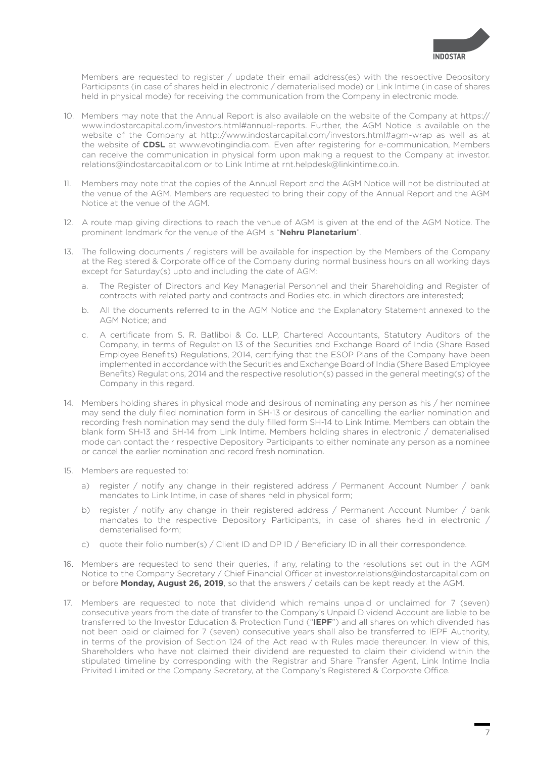

 Members are requested to register / update their email address(es) with the respective Depository Participants (in case of shares held in electronic / dematerialised mode) or Link Intime (in case of shares held in physical mode) for receiving the communication from the Company in electronic mode.

- 10. Members may note that the Annual Report is also available on the website of the Company at https:// www.indostarcapital.com/investors.html#annual-reports. Further, the AGM Notice is available on the website of the Company at http://www.indostarcapital.com/investors.html#agm-wrap as well as at the website of **CDSL** at www.evotingindia.com. Even after registering for e-communication, Members can receive the communication in physical form upon making a request to the Company at investor. relations@indostarcapital.com or to Link Intime at rnt.helpdesk@linkintime.co.in.
- 11. Members may note that the copies of the Annual Report and the AGM Notice will not be distributed at the venue of the AGM. Members are requested to bring their copy of the Annual Report and the AGM Notice at the venue of the AGM.
- 12. A route map giving directions to reach the venue of AGM is given at the end of the AGM Notice. The prominent landmark for the venue of the AGM is "**Nehru Planetarium**".
- 13. The following documents / registers will be available for inspection by the Members of the Company at the Registered & Corporate office of the Company during normal business hours on all working days except for Saturday(s) upto and including the date of AGM:
	- a. The Register of Directors and Key Managerial Personnel and their Shareholding and Register of contracts with related party and contracts and Bodies etc. in which directors are interested;
	- b. All the documents referred to in the AGM Notice and the Explanatory Statement annexed to the AGM Notice; and
	- c. A certificate from S. R. Batliboi & Co. LLP, Chartered Accountants, Statutory Auditors of the Company, in terms of Regulation 13 of the Securities and Exchange Board of India (Share Based Employee Benefits) Regulations, 2014, certifying that the ESOP Plans of the Company have been implemented in accordance with the Securities and Exchange Board of India (Share Based Employee Benefits) Regulations, 2014 and the respective resolution(s) passed in the general meeting(s) of the Company in this regard.
- 14. Members holding shares in physical mode and desirous of nominating any person as his / her nominee may send the duly filed nomination form in SH-13 or desirous of cancelling the earlier nomination and recording fresh nomination may send the duly filled form SH-14 to Link Intime. Members can obtain the blank form SH-13 and SH-14 from Link Intime. Members holding shares in electronic / dematerialised mode can contact their respective Depository Participants to either nominate any person as a nominee or cancel the earlier nomination and record fresh nomination.
- 15. Members are requested to:
	- a) register / notify any change in their registered address / Permanent Account Number / bank mandates to Link Intime, in case of shares held in physical form;
	- b) register / notify any change in their registered address / Permanent Account Number / bank mandates to the respective Depository Participants, in case of shares held in electronic / dematerialised form;
	- c) quote their folio number(s) / Client ID and DP ID / Beneficiary ID in all their correspondence.
- 16. Members are requested to send their queries, if any, relating to the resolutions set out in the AGM Notice to the Company Secretary / Chief Financial Officer at investor.relations@indostarcapital.com on or before **Monday, August 26, 2019**, so that the answers / details can be kept ready at the AGM.
- 17. Members are requested to note that dividend which remains unpaid or unclaimed for 7 (seven) consecutive years from the date of transfer to the Company's Unpaid Dividend Account are liable to be transferred to the Investor Education & Protection Fund ("**IEPF**") and all shares on which divended has not been paid or claimed for 7 (seven) consecutive years shall also be transferred to IEPF Authority, in terms of the provision of Section 124 of the Act read with Rules made thereunder. In view of this, Shareholders who have not claimed their dividend are requested to claim their dividend within the stipulated timeline by corresponding with the Registrar and Share Transfer Agent, Link Intime India Privited Limited or the Company Secretary, at the Company's Registered & Corporate Office.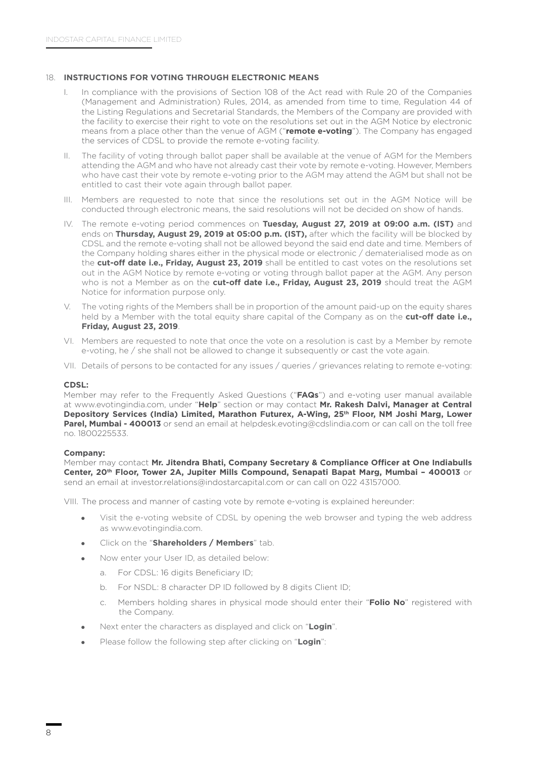## 18. **INSTRUCTIONS FOR VOTING THROUGH ELECTRONIC MEANS**

- I. In compliance with the provisions of Section 108 of the Act read with Rule 20 of the Companies (Management and Administration) Rules, 2014, as amended from time to time, Regulation 44 of the Listing Regulations and Secretarial Standards, the Members of the Company are provided with the facility to exercise their right to vote on the resolutions set out in the AGM Notice by electronic means from a place other than the venue of AGM ("**remote e-voting**"). The Company has engaged the services of CDSL to provide the remote e-voting facility.
- II. The facility of voting through ballot paper shall be available at the venue of AGM for the Members attending the AGM and who have not already cast their vote by remote e-voting. However, Members who have cast their vote by remote e-voting prior to the AGM may attend the AGM but shall not be entitled to cast their vote again through ballot paper.
- III. Members are requested to note that since the resolutions set out in the AGM Notice will be conducted through electronic means, the said resolutions will not be decided on show of hands.
- IV. The remote e-voting period commences on **Tuesday, August 27, 2019 at 09:00 a.m. (IST)** and ends on **Thursday, August 29, 2019 at 05:00 p.m. (IST),** after which the facility will be blocked by CDSL and the remote e-voting shall not be allowed beyond the said end date and time. Members of the Company holding shares either in the physical mode or electronic / dematerialised mode as on the **cut-off date i.e., Friday, August 23, 2019** shall be entitled to cast votes on the resolutions set out in the AGM Notice by remote e-voting or voting through ballot paper at the AGM. Any person who is not a Member as on the **cut-off date i.e., Friday, August 23, 2019** should treat the AGM Notice for information purpose only.
- V. The voting rights of the Members shall be in proportion of the amount paid-up on the equity shares held by a Member with the total equity share capital of the Company as on the **cut-off date i.e., Friday, August 23, 2019**.
- VI. Members are requested to note that once the vote on a resolution is cast by a Member by remote e-voting, he / she shall not be allowed to change it subsequently or cast the vote again.
- VII. Details of persons to be contacted for any issues / queries / grievances relating to remote e-voting:

### **CDSL:**

 Member may refer to the Frequently Asked Questions ("**FAQs**") and e-voting user manual available at www.evotingindia.com, under "**Help**" section or may contact **Mr. Rakesh Dalvi, Manager at Central Depository Services (India) Limited, Marathon Futurex, A-Wing, 25th Floor, NM Joshi Marg, Lower Parel, Mumbai - 400013** or send an email at helpdesk.evoting@cdslindia.com or can call on the toll free no. 1800225533.

### **Company:**

Member may contact **Mr. Jitendra Bhati, Company Secretary & Compliance Officer at One Indiabulls Center, 20th Floor, Tower 2A, Jupiter Mills Compound, Senapati Bapat Marg, Mumbai – 400013** or send an email at investor.relations@indostarcapital.com or can call on 022 43157000.

VIII. The process and manner of casting vote by remote e-voting is explained hereunder:

- Visit the e-voting website of CDSL by opening the web browser and typing the web address as www.evotingindia.com.
- <sup>z</sup> Click on the "**Shareholders / Members**" tab.
- Now enter your User ID, as detailed below:
	- a. For CDSL: 16 digits Beneficiary ID;
	- b. For NSDL: 8 character DP ID followed by 8 digits Client ID;
	- c. Members holding shares in physical mode should enter their "**Folio No**" registered with the Company.
- **•** Next enter the characters as displayed and click on "Login".
- **•** Please follow the following step after clicking on "**Login**":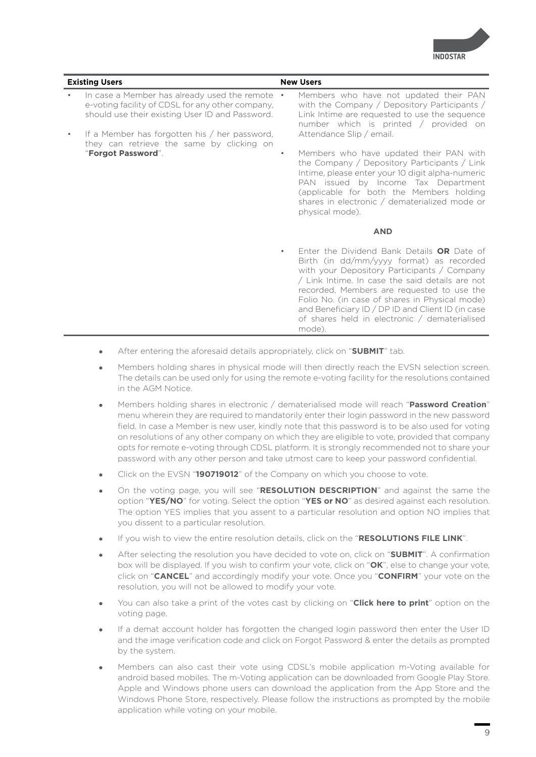

| <b>Existing Users</b> |                                                                                                                                                       | <b>New Users</b> |                                                                                                                                                                                                                                                                                                                                                                                                          |
|-----------------------|-------------------------------------------------------------------------------------------------------------------------------------------------------|------------------|----------------------------------------------------------------------------------------------------------------------------------------------------------------------------------------------------------------------------------------------------------------------------------------------------------------------------------------------------------------------------------------------------------|
|                       | In case a Member has already used the remote •<br>e-voting facility of CDSL for any other company,<br>should use their existing User ID and Password. |                  | Members who have not updated their PAN<br>with the Company / Depository Participants /<br>Link Intime are requested to use the sequence<br>number which is printed / provided on                                                                                                                                                                                                                         |
|                       | If a Member has forgotten his / her password,<br>they can retrieve the same by clicking on                                                            |                  | Attendance Slip / email.                                                                                                                                                                                                                                                                                                                                                                                 |
|                       | "Forgot Password".                                                                                                                                    | $\bullet$        | Members who have updated their PAN with<br>the Company / Depository Participants / Link<br>Intime, please enter your 10 digit alpha-numeric<br>PAN issued by Income Tax Department<br>(applicable for both the Members holding<br>shares in electronic / dematerialized mode or<br>physical mode).                                                                                                       |
|                       |                                                                                                                                                       |                  | <b>AND</b>                                                                                                                                                                                                                                                                                                                                                                                               |
|                       |                                                                                                                                                       | $\bullet$        | Enter the Dividend Bank Details OR Date of<br>Birth (in dd/mm/yyyy format) as recorded<br>with your Depository Participants / Company<br>/ Link Intime. In case the said details are not<br>recorded, Members are requested to use the<br>Folio No. (in case of shares in Physical mode)<br>and Beneficiary ID / DP ID and Client ID (in case<br>of shares held in electronic / dematerialised<br>mode). |

- **•** After entering the aforesaid details appropriately, click on "SUBMIT" tab.
- Members holding shares in physical mode will then directly reach the EVSN selection screen. The details can be used only for using the remote e-voting facility for the resolutions contained in the AGM Notice.
- <sup>z</sup> Members holding shares in electronic / dematerialised mode will reach "**Password Creation**" menu wherein they are required to mandatorily enter their login password in the new password field. In case a Member is new user, kindly note that this password is to be also used for voting on resolutions of any other company on which they are eligible to vote, provided that company opts for remote e-voting through CDSL platform. It is strongly recommended not to share your password with any other person and take utmost care to keep your password confidential.
- Click on the EVSN "190719012" of the Company on which you choose to vote.
- On the voting page, you will see "RESOLUTION DESCRIPTION" and against the same the option "**YES/NO**" for voting. Select the option "**YES or NO**" as desired against each resolution. The option YES implies that you assent to a particular resolution and option NO implies that you dissent to a particular resolution.
- If you wish to view the entire resolution details, click on the "**RESOLUTIONS FILE LINK**".
- <sup>z</sup> After selecting the resolution you have decided to vote on, click on "**SUBMIT**". A confirmation box will be displayed. If you wish to confirm your vote, click on "**OK**", else to change your vote, click on "**CANCEL**" and accordingly modify your vote. Once you "**CONFIRM**" your vote on the resolution, you will not be allowed to modify your vote.
- You can also take a print of the votes cast by clicking on "**Click here to print**" option on the voting page.
- If a demat account holder has forgotten the changed login password then enter the User ID and the image verification code and click on Forgot Password & enter the details as prompted by the system.
- Members can also cast their vote using CDSL's mobile application m-Voting available for android based mobiles. The m-Voting application can be downloaded from Google Play Store. Apple and Windows phone users can download the application from the App Store and the Windows Phone Store, respectively. Please follow the instructions as prompted by the mobile application while voting on your mobile.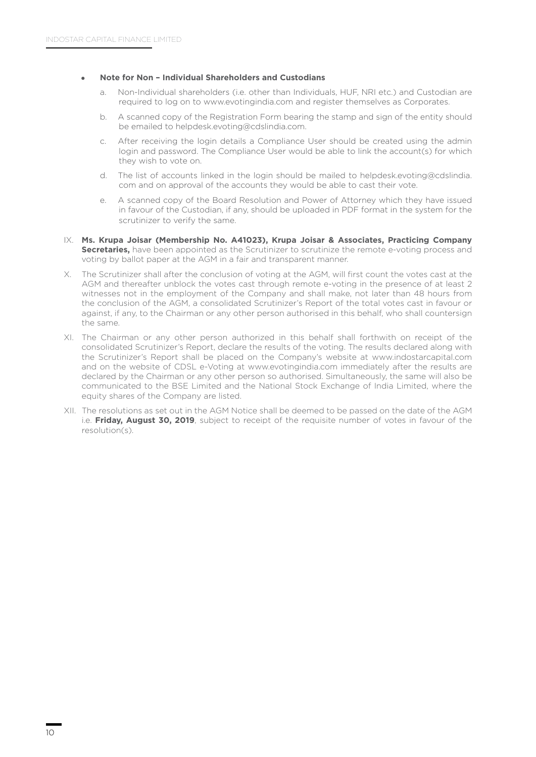### <sup>z</sup> **Note for Non – Individual Shareholders and Custodians**

- a. Non-Individual shareholders (i.e. other than Individuals, HUF, NRI etc.) and Custodian are required to log on to www.evotingindia.com and register themselves as Corporates.
- b. A scanned copy of the Registration Form bearing the stamp and sign of the entity should be emailed to helpdesk.evoting@cdslindia.com.
- c. After receiving the login details a Compliance User should be created using the admin login and password. The Compliance User would be able to link the account(s) for which they wish to vote on.
- d. The list of accounts linked in the login should be mailed to helpdesk.evoting@cdslindia. com and on approval of the accounts they would be able to cast their vote.
- e. A scanned copy of the Board Resolution and Power of Attorney which they have issued in favour of the Custodian, if any, should be uploaded in PDF format in the system for the scrutinizer to verify the same.
- IX. **Ms. Krupa Joisar (Membership No. A41023), Krupa Joisar & Associates, Practicing Company Secretaries,** have been appointed as the Scrutinizer to scrutinize the remote e-voting process and voting by ballot paper at the AGM in a fair and transparent manner.
- X. The Scrutinizer shall after the conclusion of voting at the AGM, will first count the votes cast at the AGM and thereafter unblock the votes cast through remote e-voting in the presence of at least 2 witnesses not in the employment of the Company and shall make, not later than 48 hours from the conclusion of the AGM, a consolidated Scrutinizer's Report of the total votes cast in favour or against, if any, to the Chairman or any other person authorised in this behalf, who shall countersign the same.
- XI. The Chairman or any other person authorized in this behalf shall forthwith on receipt of the consolidated Scrutinizer's Report, declare the results of the voting. The results declared along with the Scrutinizer's Report shall be placed on the Company's website at www.indostarcapital.com and on the website of CDSL e-Voting at www.evotingindia.com immediately after the results are declared by the Chairman or any other person so authorised. Simultaneously, the same will also be communicated to the BSE Limited and the National Stock Exchange of India Limited, where the equity shares of the Company are listed.
- XII. The resolutions as set out in the AGM Notice shall be deemed to be passed on the date of the AGM i.e. **Friday, August 30, 2019**, subject to receipt of the requisite number of votes in favour of the resolution(s).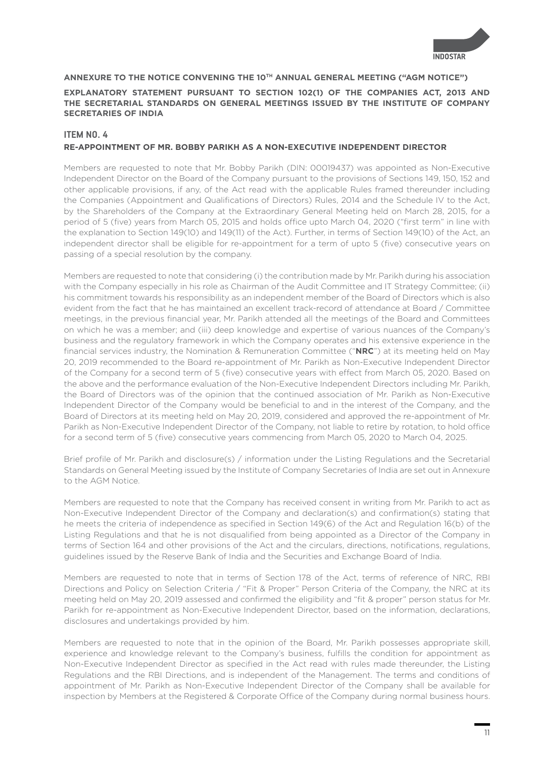

### **ANNEXURE TO THE NOTICE CONVENING THE 10TH ANNUAL GENERAL MEETING ("AGM NOTICE")**

### **EXPLANATORY STATEMENT PURSUANT TO SECTION 102(1) OF THE COMPANIES ACT, 2013 AND THE SECRETARIAL STANDARDS ON GENERAL MEETINGS ISSUED BY THE INSTITUTE OF COMPANY SECRETARIES OF INDIA**

## **ITEM NO. 4 RE-APPOINTMENT OF MR. BOBBY PARIKH AS A NON-EXECUTIVE INDEPENDENT DIRECTOR**

Members are requested to note that Mr. Bobby Parikh (DIN: 00019437) was appointed as Non-Executive Independent Director on the Board of the Company pursuant to the provisions of Sections 149, 150, 152 and other applicable provisions, if any, of the Act read with the applicable Rules framed thereunder including the Companies (Appointment and Qualifications of Directors) Rules, 2014 and the Schedule IV to the Act, by the Shareholders of the Company at the Extraordinary General Meeting held on March 28, 2015, for a period of 5 (five) years from March 05, 2015 and holds office upto March 04, 2020 ("first term" in line with the explanation to Section 149(10) and 149(11) of the Act). Further, in terms of Section 149(10) of the Act, an independent director shall be eligible for re-appointment for a term of upto 5 (five) consecutive years on passing of a special resolution by the company.

Members are requested to note that considering (i) the contribution made by Mr. Parikh during his association with the Company especially in his role as Chairman of the Audit Committee and IT Strategy Committee; (ii) his commitment towards his responsibility as an independent member of the Board of Directors which is also evident from the fact that he has maintained an excellent track-record of attendance at Board / Committee meetings, in the previous financial year, Mr. Parikh attended all the meetings of the Board and Committees on which he was a member; and (iii) deep knowledge and expertise of various nuances of the Company's business and the regulatory framework in which the Company operates and his extensive experience in the financial services industry, the Nomination & Remuneration Committee ("**NRC**") at its meeting held on May 20, 2019 recommended to the Board re-appointment of Mr. Parikh as Non-Executive Independent Director of the Company for a second term of 5 (five) consecutive years with effect from March 05, 2020. Based on the above and the performance evaluation of the Non-Executive Independent Directors including Mr. Parikh, the Board of Directors was of the opinion that the continued association of Mr. Parikh as Non-Executive Independent Director of the Company would be beneficial to and in the interest of the Company, and the Board of Directors at its meeting held on May 20, 2019, considered and approved the re-appointment of Mr. Parikh as Non-Executive Independent Director of the Company, not liable to retire by rotation, to hold office for a second term of 5 (five) consecutive years commencing from March 05, 2020 to March 04, 2025.

Brief profile of Mr. Parikh and disclosure(s) / information under the Listing Regulations and the Secretarial Standards on General Meeting issued by the Institute of Company Secretaries of India are set out in Annexure to the AGM Notice.

Members are requested to note that the Company has received consent in writing from Mr. Parikh to act as Non-Executive Independent Director of the Company and declaration(s) and confirmation(s) stating that he meets the criteria of independence as specified in Section 149(6) of the Act and Regulation 16(b) of the Listing Regulations and that he is not disqualified from being appointed as a Director of the Company in terms of Section 164 and other provisions of the Act and the circulars, directions, notifications, regulations, guidelines issued by the Reserve Bank of India and the Securities and Exchange Board of India.

Members are requested to note that in terms of Section 178 of the Act, terms of reference of NRC, RBI Directions and Policy on Selection Criteria / "Fit & Proper" Person Criteria of the Company, the NRC at its meeting held on May 20, 2019 assessed and confirmed the eligibility and "fit & proper" person status for Mr. Parikh for re-appointment as Non-Executive Independent Director, based on the information, declarations, disclosures and undertakings provided by him.

Members are requested to note that in the opinion of the Board, Mr. Parikh possesses appropriate skill, experience and knowledge relevant to the Company's business, fulfills the condition for appointment as Non-Executive Independent Director as specified in the Act read with rules made thereunder, the Listing Regulations and the RBI Directions, and is independent of the Management. The terms and conditions of appointment of Mr. Parikh as Non-Executive Independent Director of the Company shall be available for inspection by Members at the Registered & Corporate Office of the Company during normal business hours.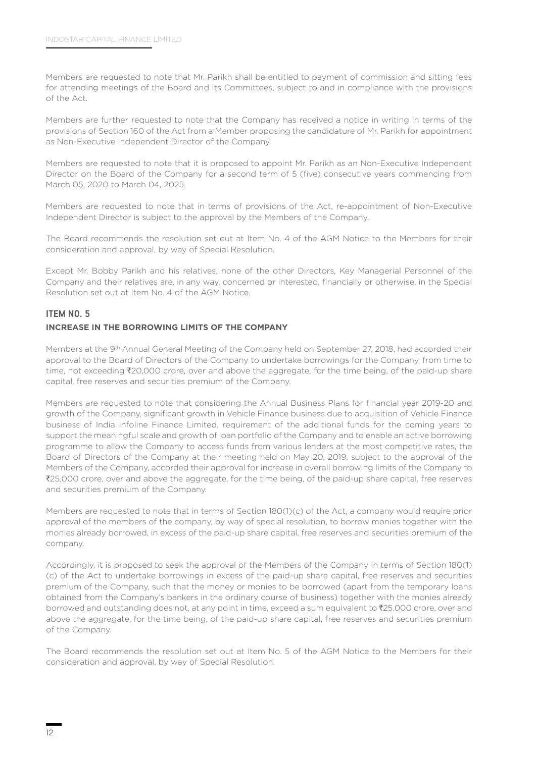Members are requested to note that Mr. Parikh shall be entitled to payment of commission and sitting fees for attending meetings of the Board and its Committees, subject to and in compliance with the provisions of the Act.

Members are further requested to note that the Company has received a notice in writing in terms of the provisions of Section 160 of the Act from a Member proposing the candidature of Mr. Parikh for appointment as Non-Executive Independent Director of the Company.

Members are requested to note that it is proposed to appoint Mr. Parikh as an Non-Executive Independent Director on the Board of the Company for a second term of 5 (five) consecutive years commencing from March 05, 2020 to March 04, 2025.

Members are requested to note that in terms of provisions of the Act, re-appointment of Non-Executive Independent Director is subject to the approval by the Members of the Company.

The Board recommends the resolution set out at Item No. 4 of the AGM Notice to the Members for their consideration and approval, by way of Special Resolution.

Except Mr. Bobby Parikh and his relatives, none of the other Directors, Key Managerial Personnel of the Company and their relatives are, in any way, concerned or interested, financially or otherwise, in the Special Resolution set out at Item No. 4 of the AGM Notice.

# **ITEM NO. 5 INCREASE IN THE BORROWING LIMITS OF THE COMPANY**

Members at the 9th Annual General Meeting of the Company held on September 27, 2018, had accorded their approval to the Board of Directors of the Company to undertake borrowings for the Company, from time to time, not exceeding ₹20,000 crore, over and above the aggregate, for the time being, of the paid-up share capital, free reserves and securities premium of the Company.

Members are requested to note that considering the Annual Business Plans for financial year 2019-20 and growth of the Company, significant growth in Vehicle Finance business due to acquisition of Vehicle Finance business of India Infoline Finance Limited, requirement of the additional funds for the coming years to support the meaningful scale and growth of loan portfolio of the Company and to enable an active borrowing programme to allow the Company to access funds from various lenders at the most competitive rates, the Board of Directors of the Company at their meeting held on May 20, 2019, subject to the approval of the Members of the Company, accorded their approval for increase in overall borrowing limits of the Company to `25,000 crore, over and above the aggregate, for the time being, of the paid-up share capital, free reserves and securities premium of the Company.

Members are requested to note that in terms of Section 180(1)(c) of the Act, a company would require prior approval of the members of the company, by way of special resolution, to borrow monies together with the monies already borrowed, in excess of the paid-up share capital, free reserves and securities premium of the company.

Accordingly, it is proposed to seek the approval of the Members of the Company in terms of Section 180(1) (c) of the Act to undertake borrowings in excess of the paid-up share capital, free reserves and securities premium of the Company, such that the money or monies to be borrowed (apart from the temporary loans obtained from the Company's bankers in the ordinary course of business) together with the monies already borrowed and outstanding does not, at any point in time, exceed a sum equivalent to  $\bar{\chi}$ 25,000 crore, over and above the aggregate, for the time being, of the paid-up share capital, free reserves and securities premium of the Company.

The Board recommends the resolution set out at Item No. 5 of the AGM Notice to the Members for their consideration and approval, by way of Special Resolution.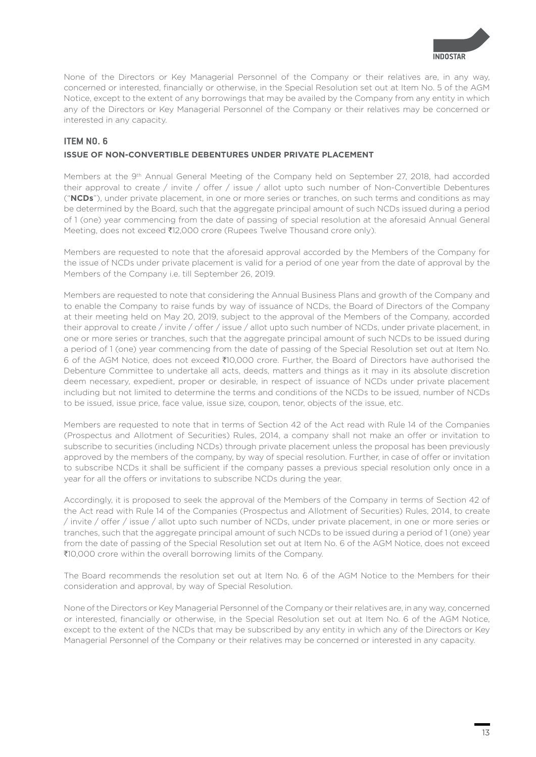

None of the Directors or Key Managerial Personnel of the Company or their relatives are, in any way, concerned or interested, financially or otherwise, in the Special Resolution set out at Item No. 5 of the AGM Notice, except to the extent of any borrowings that may be availed by the Company from any entity in which any of the Directors or Key Managerial Personnel of the Company or their relatives may be concerned or interested in any capacity.

# **ITEM NO. 6**

## **ISSUE OF NON-CONVERTIBLE DEBENTURES UNDER PRIVATE PLACEMENT**

Members at the 9<sup>th</sup> Annual General Meeting of the Company held on September 27, 2018, had accorded their approval to create / invite / offer / issue / allot upto such number of Non-Convertible Debentures ("**NCDs**"), under private placement, in one or more series or tranches, on such terms and conditions as may be determined by the Board, such that the aggregate principal amount of such NCDs issued during a period of 1 (one) year commencing from the date of passing of special resolution at the aforesaid Annual General Meeting, does not exceed ₹12,000 crore (Rupees Twelve Thousand crore only).

Members are requested to note that the aforesaid approval accorded by the Members of the Company for the issue of NCDs under private placement is valid for a period of one year from the date of approval by the Members of the Company i.e. till September 26, 2019.

Members are requested to note that considering the Annual Business Plans and growth of the Company and to enable the Company to raise funds by way of issuance of NCDs, the Board of Directors of the Company at their meeting held on May 20, 2019, subject to the approval of the Members of the Company, accorded their approval to create / invite / offer / issue / allot upto such number of NCDs, under private placement, in one or more series or tranches, such that the aggregate principal amount of such NCDs to be issued during a period of 1 (one) year commencing from the date of passing of the Special Resolution set out at Item No. 6 of the AGM Notice, does not exceed `10,000 crore. Further, the Board of Directors have authorised the Debenture Committee to undertake all acts, deeds, matters and things as it may in its absolute discretion deem necessary, expedient, proper or desirable, in respect of issuance of NCDs under private placement including but not limited to determine the terms and conditions of the NCDs to be issued, number of NCDs to be issued, issue price, face value, issue size, coupon, tenor, objects of the issue, etc.

Members are requested to note that in terms of Section 42 of the Act read with Rule 14 of the Companies (Prospectus and Allotment of Securities) Rules, 2014, a company shall not make an offer or invitation to subscribe to securities (including NCDs) through private placement unless the proposal has been previously approved by the members of the company, by way of special resolution. Further, in case of offer or invitation to subscribe NCDs it shall be sufficient if the company passes a previous special resolution only once in a year for all the offers or invitations to subscribe NCDs during the year.

Accordingly, it is proposed to seek the approval of the Members of the Company in terms of Section 42 of the Act read with Rule 14 of the Companies (Prospectus and Allotment of Securities) Rules, 2014, to create / invite / offer / issue / allot upto such number of NCDs, under private placement, in one or more series or tranches, such that the aggregate principal amount of such NCDs to be issued during a period of 1 (one) year from the date of passing of the Special Resolution set out at Item No. 6 of the AGM Notice, does not exceed `10,000 crore within the overall borrowing limits of the Company.

The Board recommends the resolution set out at Item No. 6 of the AGM Notice to the Members for their consideration and approval, by way of Special Resolution.

None of the Directors or Key Managerial Personnel of the Company or their relatives are, in any way, concerned or interested, financially or otherwise, in the Special Resolution set out at Item No. 6 of the AGM Notice, except to the extent of the NCDs that may be subscribed by any entity in which any of the Directors or Key Managerial Personnel of the Company or their relatives may be concerned or interested in any capacity.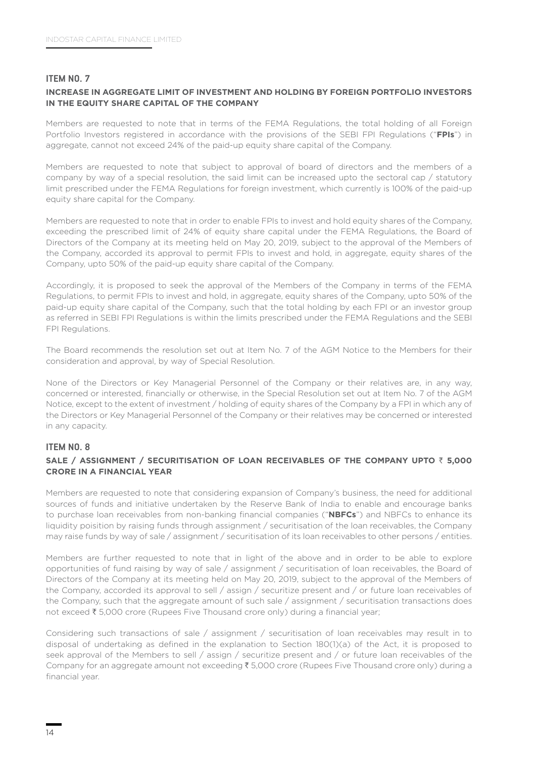## **ITEM NO. 7**

## **INCREASE IN AGGREGATE LIMIT OF INVESTMENT AND HOLDING BY FOREIGN PORTFOLIO INVESTORS IN THE EQUITY SHARE CAPITAL OF THE COMPANY**

Members are requested to note that in terms of the FEMA Regulations, the total holding of all Foreign Portfolio Investors registered in accordance with the provisions of the SEBI FPI Regulations ("**FPIs**") in aggregate, cannot not exceed 24% of the paid-up equity share capital of the Company.

Members are requested to note that subject to approval of board of directors and the members of a company by way of a special resolution, the said limit can be increased upto the sectoral cap / statutory limit prescribed under the FEMA Regulations for foreign investment, which currently is 100% of the paid-up equity share capital for the Company.

Members are requested to note that in order to enable FPIs to invest and hold equity shares of the Company, exceeding the prescribed limit of 24% of equity share capital under the FEMA Regulations, the Board of Directors of the Company at its meeting held on May 20, 2019, subject to the approval of the Members of the Company, accorded its approval to permit FPIs to invest and hold, in aggregate, equity shares of the Company, upto 50% of the paid-up equity share capital of the Company.

Accordingly, it is proposed to seek the approval of the Members of the Company in terms of the FEMA Regulations, to permit FPIs to invest and hold, in aggregate, equity shares of the Company, upto 50% of the paid-up equity share capital of the Company, such that the total holding by each FPI or an investor group as referred in SEBI FPI Regulations is within the limits prescribed under the FEMA Regulations and the SEBI FPI Regulations.

The Board recommends the resolution set out at Item No. 7 of the AGM Notice to the Members for their consideration and approval, by way of Special Resolution.

None of the Directors or Key Managerial Personnel of the Company or their relatives are, in any way, concerned or interested, financially or otherwise, in the Special Resolution set out at Item No. 7 of the AGM Notice, except to the extent of investment / holding of equity shares of the Company by a FPI in which any of the Directors or Key Managerial Personnel of the Company or their relatives may be concerned or interested in any capacity.

### **ITEM NO. 8**

## **SALE / ASSIGNMENT / SECURITISATION OF LOAN RECEIVABLES OF THE COMPANY UPTO** ` **5,000 CRORE IN A FINANCIAL YEAR**

Members are requested to note that considering expansion of Company's business, the need for additional sources of funds and initiative undertaken by the Reserve Bank of India to enable and encourage banks to purchase loan receivables from non-banking financial companies ("**NBFCs**") and NBFCs to enhance its liquidity poisition by raising funds through assignment / securitisation of the loan receivables, the Company may raise funds by way of sale / assignment / securitisation of its loan receivables to other persons / entities.

Members are further requested to note that in light of the above and in order to be able to explore opportunities of fund raising by way of sale / assignment / securitisation of loan receivables, the Board of Directors of the Company at its meeting held on May 20, 2019, subject to the approval of the Members of the Company, accorded its approval to sell / assign / securitize present and / or future loan receivables of the Company, such that the aggregate amount of such sale / assignment / securitisation transactions does not exceed  $\bar{\tau}$  5,000 crore (Rupees Five Thousand crore only) during a financial year;

Considering such transactions of sale / assignment / securitisation of loan receivables may result in to disposal of undertaking as defined in the explanation to Section 180(1)(a) of the Act, it is proposed to seek approval of the Members to sell / assign / securitize present and / or future loan receivables of the Company for an aggregate amount not exceeding ₹ 5,000 crore (Rupees Five Thousand crore only) during a financial year.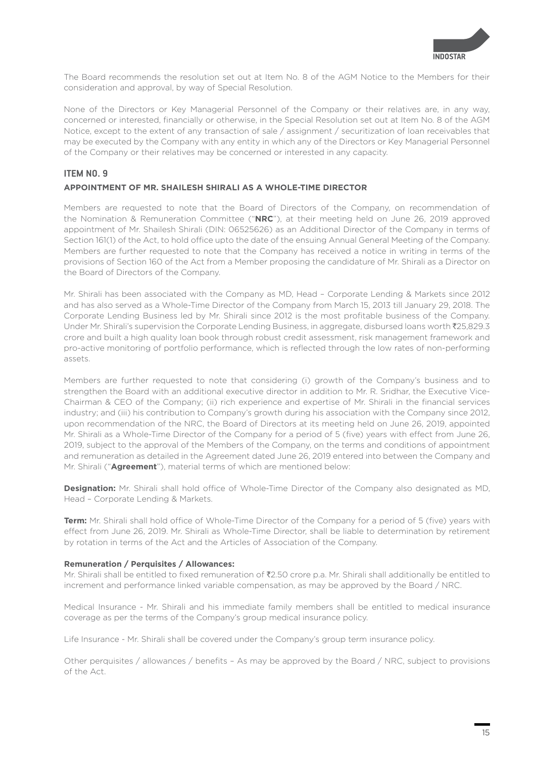

The Board recommends the resolution set out at Item No. 8 of the AGM Notice to the Members for their consideration and approval, by way of Special Resolution.

None of the Directors or Key Managerial Personnel of the Company or their relatives are, in any way, concerned or interested, financially or otherwise, in the Special Resolution set out at Item No. 8 of the AGM Notice, except to the extent of any transaction of sale / assignment / securitization of loan receivables that may be executed by the Company with any entity in which any of the Directors or Key Managerial Personnel of the Company or their relatives may be concerned or interested in any capacity.

## **ITEM NO. 9**

### **APPOINTMENT OF MR. SHAILESH SHIRALI AS A WHOLE-TIME DIRECTOR**

Members are requested to note that the Board of Directors of the Company, on recommendation of the Nomination & Remuneration Committee ("**NRC**"), at their meeting held on June 26, 2019 approved appointment of Mr. Shailesh Shirali (DIN: 06525626) as an Additional Director of the Company in terms of Section 161(1) of the Act, to hold office upto the date of the ensuing Annual General Meeting of the Company. Members are further requested to note that the Company has received a notice in writing in terms of the provisions of Section 160 of the Act from a Member proposing the candidature of Mr. Shirali as a Director on the Board of Directors of the Company.

Mr. Shirali has been associated with the Company as MD, Head – Corporate Lending & Markets since 2012 and has also served as a Whole-Time Director of the Company from March 15, 2013 till January 29, 2018. The Corporate Lending Business led by Mr. Shirali since 2012 is the most profitable business of the Company. Under Mr. Shirali's supervision the Corporate Lending Business, in aggregate, disbursed loans worth  $\bar{\chi}$ 25,829.3 crore and built a high quality loan book through robust credit assessment, risk management framework and pro-active monitoring of portfolio performance, which is reflected through the low rates of non-performing assets.

Members are further requested to note that considering (i) growth of the Company's business and to strengthen the Board with an additional executive director in addition to Mr. R. Sridhar, the Executive Vice-Chairman & CEO of the Company; (ii) rich experience and expertise of Mr. Shirali in the financial services industry; and (iii) his contribution to Company's growth during his association with the Company since 2012, upon recommendation of the NRC, the Board of Directors at its meeting held on June 26, 2019, appointed Mr. Shirali as a Whole-Time Director of the Company for a period of 5 (five) years with effect from June 26, 2019, subject to the approval of the Members of the Company, on the terms and conditions of appointment and remuneration as detailed in the Agreement dated June 26, 2019 entered into between the Company and Mr. Shirali ("**Agreement**"), material terms of which are mentioned below:

**Designation:** Mr. Shirali shall hold office of Whole-Time Director of the Company also designated as MD, Head – Corporate Lending & Markets.

**Term:** Mr. Shirali shall hold office of Whole-Time Director of the Company for a period of 5 (five) years with effect from June 26, 2019. Mr. Shirali as Whole-Time Director, shall be liable to determination by retirement by rotation in terms of the Act and the Articles of Association of the Company.

#### **Remuneration / Perquisites / Allowances:**

Mr. Shirali shall be entitled to fixed remuneration of ₹2.50 crore p.a. Mr. Shirali shall additionally be entitled to increment and performance linked variable compensation, as may be approved by the Board / NRC.

Medical Insurance - Mr. Shirali and his immediate family members shall be entitled to medical insurance coverage as per the terms of the Company's group medical insurance policy.

Life Insurance - Mr. Shirali shall be covered under the Company's group term insurance policy.

Other perquisites / allowances / benefits – As may be approved by the Board / NRC, subject to provisions of the Act.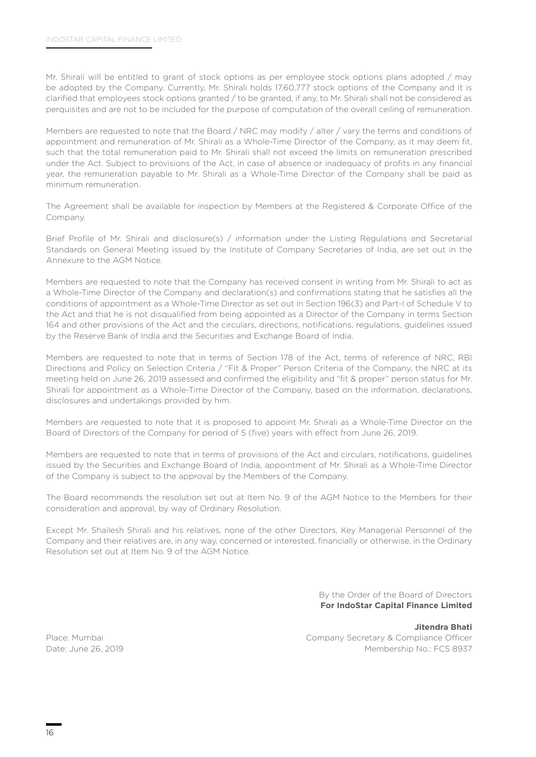Mr. Shirali will be entitled to grant of stock options as per employee stock options plans adopted / may be adopted by the Company. Currently, Mr. Shirali holds 17,60,777 stock options of the Company and it is clarified that employees stock options granted / to be granted, if any, to Mr. Shirali shall not be considered as perquisites and are not to be included for the purpose of computation of the overall ceiling of remuneration.

Members are requested to note that the Board / NRC may modify / alter / vary the terms and conditions of appointment and remuneration of Mr. Shirali as a Whole-Time Director of the Company, as it may deem fit, such that the total remuneration paid to Mr. Shirali shall not exceed the limits on remuneration prescribed under the Act. Subject to provisions of the Act, in case of absence or inadequacy of profits in any financial year, the remuneration payable to Mr. Shirali as a Whole-Time Director of the Company shall be paid as minimum remuneration.

The Agreement shall be available for inspection by Members at the Registered & Corporate Office of the Company.

Brief Profile of Mr. Shirali and disclosure(s) / information under the Listing Regulations and Secretarial Standards on General Meeting issued by the Institute of Company Secretaries of India, are set out in the Annexure to the AGM Notice.

Members are requested to note that the Company has received consent in writing from Mr. Shirali to act as a Whole-Time Director of the Company and declaration(s) and confirmations stating that he satisfies all the conditions of appointment as a Whole-Time Director as set out in Section 196(3) and Part-I of Schedule V to the Act and that he is not disqualified from being appointed as a Director of the Company in terms Section 164 and other provisions of the Act and the circulars, directions, notifications, regulations, guidelines issued by the Reserve Bank of India and the Securities and Exchange Board of India.

Members are requested to note that in terms of Section 178 of the Act, terms of reference of NRC, RBI Directions and Policy on Selection Criteria / "Fit & Proper" Person Criteria of the Company, the NRC at its meeting held on June 26, 2019 assessed and confirmed the eligibility and "fit & proper" person status for Mr. Shirali for appointment as a Whole-Time Director of the Company, based on the information, declarations, disclosures and undertakings provided by him.

Members are requested to note that it is proposed to appoint Mr. Shirali as a Whole-Time Director on the Board of Directors of the Company for period of 5 (five) years with effect from June 26, 2019.

Members are requested to note that in terms of provisions of the Act and circulars, notifications, guidelines issued by the Securities and Exchange Board of India, appointment of Mr. Shirali as a Whole-Time Director of the Company is subject to the approval by the Members of the Company.

The Board recommends the resolution set out at Item No. 9 of the AGM Notice to the Members for their consideration and approval, by way of Ordinary Resolution.

Except Mr. Shailesh Shirali and his relatives, none of the other Directors, Key Managerial Personnel of the Company and their relatives are, in any way, concerned or interested, financially or otherwise, in the Ordinary Resolution set out at Item No. 9 of the AGM Notice.

> By the Order of the Board of Directors **For IndoStar Capital Finance Limited**

**Jitendra Bhati** Place: Mumbai Company Secretary & Compliance Officer Date: June 26, 2019 Membership No.: FCS 8937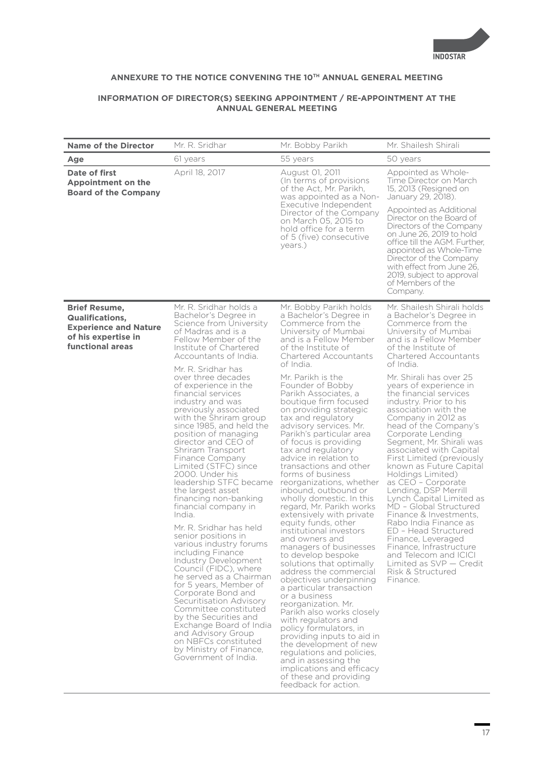

# **ANNEXURE TO THE NOTICE CONVENING THE 10TH ANNUAL GENERAL MEETING**

## **INFORMATION OF DIRECTOR(S) SEEKING APPOINTMENT / RE-APPOINTMENT AT THE ANNUAL GENERAL MEETING**

| Mr. R. Sridhar<br><b>Name of the Director</b>                                                                                                                                                                                                                                                                                                                                                                                                                                                                                                                                                                                                                                                                                                                                                                                                                                                                                                                                                                                                                                                                                                                                           | Mr. Bobby Parikh                                                                                                                                                                                                                                                                                                                                                                                                                                                                                                                                                                                                                                                                                                                                                                                                                                                                                                                                                                                                                                                                                | Mr. Shailesh Shirali                                                                                                                                                                                                                                                                                                                                                                                                                                                                                                                                                                                                                                                                                                                                                                                                                                            |
|-----------------------------------------------------------------------------------------------------------------------------------------------------------------------------------------------------------------------------------------------------------------------------------------------------------------------------------------------------------------------------------------------------------------------------------------------------------------------------------------------------------------------------------------------------------------------------------------------------------------------------------------------------------------------------------------------------------------------------------------------------------------------------------------------------------------------------------------------------------------------------------------------------------------------------------------------------------------------------------------------------------------------------------------------------------------------------------------------------------------------------------------------------------------------------------------|-------------------------------------------------------------------------------------------------------------------------------------------------------------------------------------------------------------------------------------------------------------------------------------------------------------------------------------------------------------------------------------------------------------------------------------------------------------------------------------------------------------------------------------------------------------------------------------------------------------------------------------------------------------------------------------------------------------------------------------------------------------------------------------------------------------------------------------------------------------------------------------------------------------------------------------------------------------------------------------------------------------------------------------------------------------------------------------------------|-----------------------------------------------------------------------------------------------------------------------------------------------------------------------------------------------------------------------------------------------------------------------------------------------------------------------------------------------------------------------------------------------------------------------------------------------------------------------------------------------------------------------------------------------------------------------------------------------------------------------------------------------------------------------------------------------------------------------------------------------------------------------------------------------------------------------------------------------------------------|
| 61 years<br>Age                                                                                                                                                                                                                                                                                                                                                                                                                                                                                                                                                                                                                                                                                                                                                                                                                                                                                                                                                                                                                                                                                                                                                                         | 55 years                                                                                                                                                                                                                                                                                                                                                                                                                                                                                                                                                                                                                                                                                                                                                                                                                                                                                                                                                                                                                                                                                        | 50 years                                                                                                                                                                                                                                                                                                                                                                                                                                                                                                                                                                                                                                                                                                                                                                                                                                                        |
| Date of first<br>April 18, 2017<br>Appointment on the<br><b>Board of the Company</b>                                                                                                                                                                                                                                                                                                                                                                                                                                                                                                                                                                                                                                                                                                                                                                                                                                                                                                                                                                                                                                                                                                    | August 01, 2011<br>(In terms of provisions<br>of the Act, Mr. Parikh,<br>was appointed as a Non-                                                                                                                                                                                                                                                                                                                                                                                                                                                                                                                                                                                                                                                                                                                                                                                                                                                                                                                                                                                                | Appointed as Whole-<br>Time Director on March<br>15, 2013 (Resigned on<br>January 29, 2018).                                                                                                                                                                                                                                                                                                                                                                                                                                                                                                                                                                                                                                                                                                                                                                    |
|                                                                                                                                                                                                                                                                                                                                                                                                                                                                                                                                                                                                                                                                                                                                                                                                                                                                                                                                                                                                                                                                                                                                                                                         | Executive Independent<br>Director of the Company<br>on March 05, 2015 to<br>hold office for a term<br>of 5 (five) consecutive<br>years.)                                                                                                                                                                                                                                                                                                                                                                                                                                                                                                                                                                                                                                                                                                                                                                                                                                                                                                                                                        | Appointed as Additional<br>Director on the Board of<br>Directors of the Company<br>on June 26, 2019 to hold<br>office till the AGM. Further,<br>appointed as Whole-Time<br>Director of the Company<br>with effect from June 26.<br>2019, subject to approval<br>of Members of the<br>Company.                                                                                                                                                                                                                                                                                                                                                                                                                                                                                                                                                                   |
| Mr. R. Sridhar holds a<br><b>Brief Resume,</b><br>Bachelor's Degree in<br><b>Qualifications,</b><br>Science from University<br><b>Experience and Nature</b><br>of Madras and is a<br>of his expertise in<br>Fellow Member of the<br>functional areas<br>Institute of Chartered<br>Accountants of India.<br>Mr. R. Sridhar has<br>over three decades<br>of experience in the<br>financial services<br>industry and was<br>previously associated<br>with the Shriram group<br>since 1985, and held the<br>position of managing<br>director and CEO of<br>Shriram Transport<br>Finance Company<br>Limited (STFC) since<br>2000. Under his<br>leadership STFC became<br>the largest asset<br>financing non-banking<br>financial company in<br>India.<br>Mr. R. Sridhar has held<br>senior positions in<br>various industry forums<br>including Finance<br>Industry Development<br>Council (FIDC), where<br>he served as a Chairman<br>for 5 years, Member of<br>Corporate Bond and<br>Securitisation Advisory<br>Committee constituted<br>by the Securities and<br>Exchange Board of India<br>and Advisory Group<br>on NBFCs constituted<br>by Ministry of Finance,<br>Government of India. | Mr. Bobby Parikh holds<br>a Bachelor's Degree in<br>Commerce from the<br>University of Mumbai<br>and is a Fellow Member<br>of the Institute of<br>Chartered Accountants<br>of India.<br>Mr. Parikh is the<br>Founder of Bobby<br>Parikh Associates, a<br>boutique firm focused<br>on providing strategic<br>tax and regulatory<br>advisory services. Mr.<br>Parikh's particular area<br>of focus is providing<br>tax and regulatory<br>advice in relation to<br>transactions and other<br>forms of business<br>reorganizations, whether<br>inbound, outbound or<br>wholly domestic. In this<br>regard, Mr. Parikh works<br>extensively with private<br>equity funds, other<br>institutional investors<br>and owners and<br>managers of businesses<br>to develop bespoke<br>solutions that optimally<br>address the commercial<br>objectives underpinning<br>a particular transaction<br>or a business<br>reorganization. Mr.<br>Parikh also works closely<br>with regulators and<br>policy formulators, in<br>providing inputs to aid in<br>the development of new<br>regulations and policies, | Mr. Shailesh Shirali holds<br>a Bachelor's Degree in<br>Commerce from the<br>University of Mumbai<br>and is a Fellow Member<br>of the Institute of<br><b>Chartered Accountants</b><br>of India.<br>Mr. Shirali has over 25<br>years of experience in<br>the financial services<br>industry. Prior to his<br>association with the<br>Company in 2012 as<br>head of the Company's<br>Corporate Lending<br>Segment, Mr. Shirali was<br>associated with Capital<br>First Limited (previously<br>known as Future Capital<br>Holdings Limited)<br>as CEO - Corporate<br>Lending, DSP Merrill<br>Lynch Capital Limited as<br>MD - Global Structured<br>Finance & Investments.<br>Rabo India Finance as<br>ED - Head Structured<br>Finance, Leveraged<br>Finance, Infrastructure<br>and Telecom and ICICI<br>Limited as $SVP - Credit$<br>Risk & Structured<br>Finance. |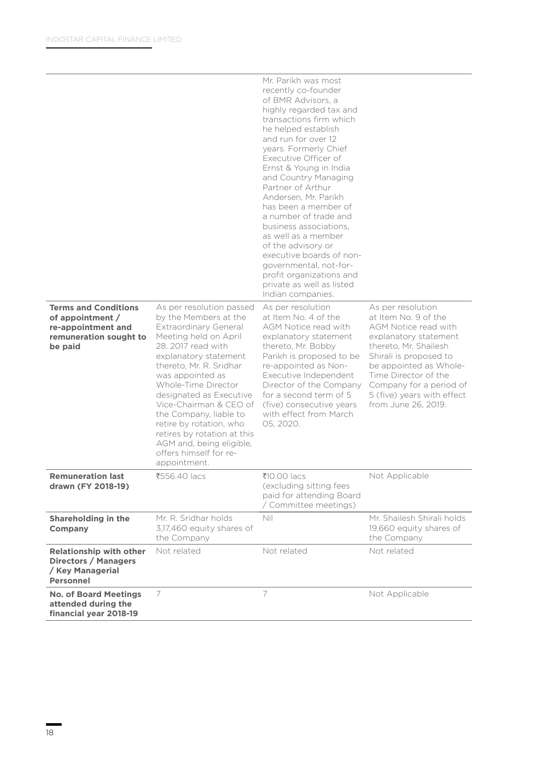|                                                                                                            |                                                                                                                                                                                                                                                                                                                                                                                                                                                | Mr. Parikh was most<br>recently co-founder<br>of BMR Advisors, a<br>highly regarded tax and<br>transactions firm which<br>he helped establish<br>and run for over 12<br>years. Formerly Chief<br>Executive Officer of<br>Ernst & Young in India<br>and Country Managing<br>Partner of Arthur<br>Andersen, Mr. Parikh<br>has been a member of<br>a number of trade and<br>business associations.<br>as well as a member<br>of the advisory or<br>executive boards of non-<br>governmental, not-for-<br>profit organizations and<br>private as well as listed<br>Indian companies. |                                                                                                                                                                                                                                                                                 |
|------------------------------------------------------------------------------------------------------------|------------------------------------------------------------------------------------------------------------------------------------------------------------------------------------------------------------------------------------------------------------------------------------------------------------------------------------------------------------------------------------------------------------------------------------------------|----------------------------------------------------------------------------------------------------------------------------------------------------------------------------------------------------------------------------------------------------------------------------------------------------------------------------------------------------------------------------------------------------------------------------------------------------------------------------------------------------------------------------------------------------------------------------------|---------------------------------------------------------------------------------------------------------------------------------------------------------------------------------------------------------------------------------------------------------------------------------|
| <b>Terms and Conditions</b><br>of appointment /<br>re-appointment and<br>remuneration sought to<br>be paid | As per resolution passed<br>by the Members at the<br><b>Extraordinary General</b><br>Meeting held on April<br>28, 2017 read with<br>explanatory statement<br>thereto, Mr. R. Sridhar<br>was appointed as<br>Whole-Time Director<br>designated as Executive<br>Vice-Chairman & CEO of<br>the Company, liable to<br>retire by rotation, who<br>retires by rotation at this<br>AGM and, being eligible,<br>offers himself for re-<br>appointment. | As per resolution<br>at Item No. 4 of the<br>AGM Notice read with<br>explanatory statement<br>thereto, Mr. Bobby<br>Parikh is proposed to be<br>re-appointed as Non-<br>Executive Independent<br>Director of the Company<br>for a second term of 5<br>(five) consecutive years<br>with effect from March<br>05, 2020.                                                                                                                                                                                                                                                            | As per resolution<br>at Item No. 9 of the<br>AGM Notice read with<br>explanatory statement<br>thereto, Mr. Shailesh<br>Shirali is proposed to<br>be appointed as Whole-<br>Time Director of the<br>Company for a period of<br>5 (five) years with effect<br>from June 26, 2019. |
| <b>Remuneration last</b><br>drawn (FY 2018-19)                                                             | ₹556.40 lacs                                                                                                                                                                                                                                                                                                                                                                                                                                   | ₹10.00 lacs<br>(excluding sitting fees<br>paid for attending Board<br>/ Committee meetings)                                                                                                                                                                                                                                                                                                                                                                                                                                                                                      | Not Applicable                                                                                                                                                                                                                                                                  |
| Shareholding in the<br><b>Company</b>                                                                      | Mr. R. Sridhar holds<br>3,17,460 equity shares of<br>the Company                                                                                                                                                                                                                                                                                                                                                                               | Nil                                                                                                                                                                                                                                                                                                                                                                                                                                                                                                                                                                              | Mr. Shailesh Shirali holds<br>19,660 equity shares of<br>the Company                                                                                                                                                                                                            |
| <b>Relationship with other</b><br><b>Directors / Managers</b><br>/ Key Managerial<br><b>Personnel</b>      | Not related                                                                                                                                                                                                                                                                                                                                                                                                                                    | Not related                                                                                                                                                                                                                                                                                                                                                                                                                                                                                                                                                                      | Not related                                                                                                                                                                                                                                                                     |
| <b>No. of Board Meetings</b><br>attended during the<br>financial year 2018-19                              | 7                                                                                                                                                                                                                                                                                                                                                                                                                                              | 7                                                                                                                                                                                                                                                                                                                                                                                                                                                                                                                                                                                | Not Applicable                                                                                                                                                                                                                                                                  |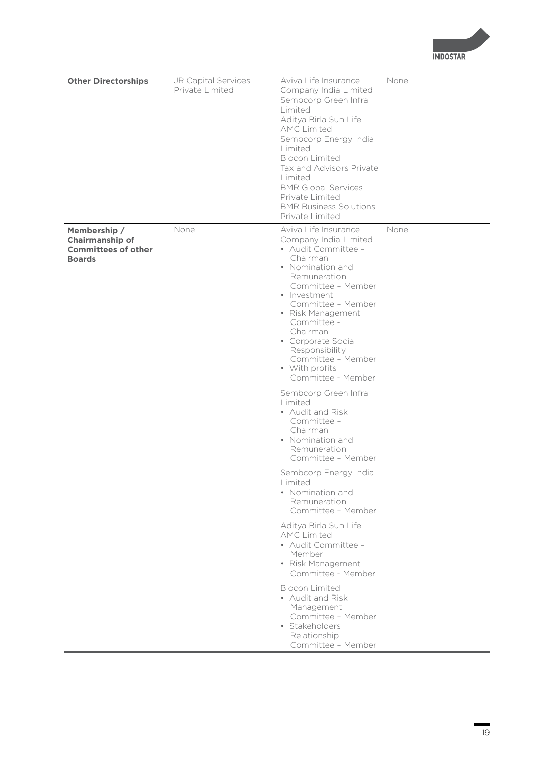**INDOSTAR** 

| <b>Other Directorships</b>                                                     | JR Capital Services<br>Private Limited | Aviva Life Insurance<br>Company India Limited<br>Sembcorp Green Infra<br>Limited<br>Aditya Birla Sun Life<br><b>AMC Limited</b><br>Sembcorp Energy India<br>Limited<br><b>Biocon Limited</b><br>Tax and Advisors Private<br>Limited<br><b>BMR Global Services</b><br>Private Limited<br><b>BMR Business Solutions</b><br>Private Limited | None |
|--------------------------------------------------------------------------------|----------------------------------------|------------------------------------------------------------------------------------------------------------------------------------------------------------------------------------------------------------------------------------------------------------------------------------------------------------------------------------------|------|
| Membership /<br>Chairmanship of<br><b>Committees of other</b><br><b>Boards</b> | None                                   | Aviva Life Insurance<br>Company India Limited<br>• Audit Committee -<br>Chairman<br>• Nomination and<br>Remuneration<br>Committee - Member<br>• Investment<br>Committee - Member<br>• Risk Management<br>Committee -<br>Chairman<br>• Corporate Social<br>Responsibility<br>Committee - Member<br>• With profits<br>Committee - Member   | None |
|                                                                                |                                        | Sembcorp Green Infra<br>Limited<br>• Audit and Risk<br>Committee -<br>Chairman<br>• Nomination and<br>Remuneration<br>Committee - Member<br>Sembcorp Energy India<br>Limited<br>• Nomination and                                                                                                                                         |      |
|                                                                                |                                        | Remuneration<br>Committee - Member<br>Aditya Birla Sun Life<br><b>AMC Limited</b><br>• Audit Committee -<br>Member<br>• Risk Management<br>Committee - Member                                                                                                                                                                            |      |
|                                                                                |                                        | <b>Biocon Limited</b><br>• Audit and Risk<br>Management<br>Committee - Member<br>· Stakeholders<br>Relationship<br>Committee - Member                                                                                                                                                                                                    |      |